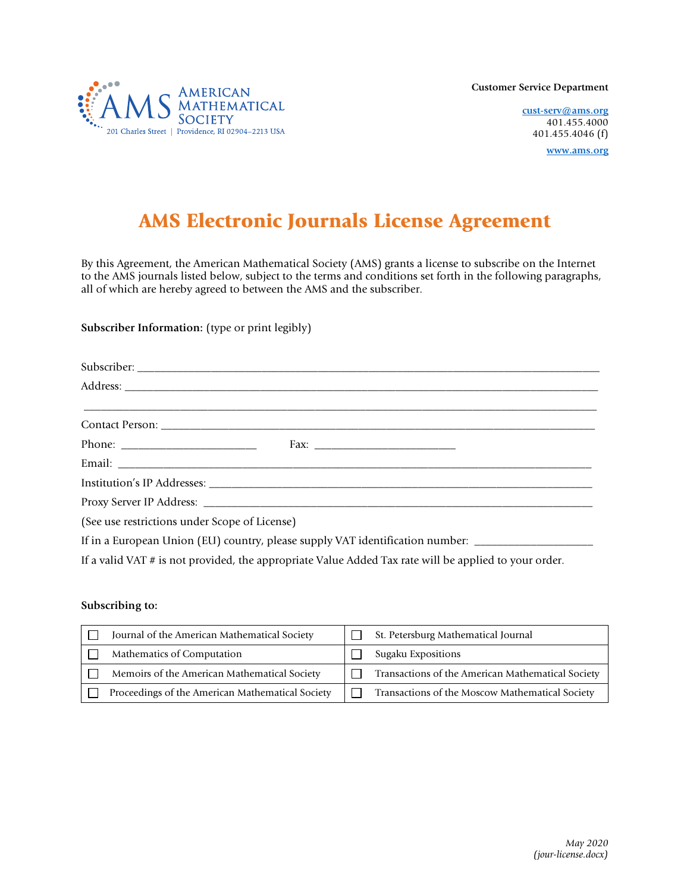**AMERICAN MATHEMATICAL SOCIETY** 201 Charles Street | Providence, RI 02904-2213 USA

**Customer Service Department**

**cust-serv@ams.org** 401.455.4000 401.455.4046 (f) **www.ams.org**

# AMS Electronic Journals License Agreement

By this Agreement, the American Mathematical Society (AMS) grants a license to subscribe on the Internet to the AMS journals listed below, subject to the terms and conditions set forth in the following paragraphs, all of which are hereby agreed to between the AMS and the subscriber.

**Subscriber Information:** (type or print legibly)

| (See use restrictions under Scope of License)                                                       |  |  |  |  |
|-----------------------------------------------------------------------------------------------------|--|--|--|--|
| If in a European Union (EU) country, please supply VAT identification number: _____________________ |  |  |  |  |

If a valid VAT # is not provided, the appropriate Value Added Tax rate will be applied to your order.

## **Subscribing to:**

| Journal of the American Mathematical Society     | St. Petersburg Mathematical Journal               |
|--------------------------------------------------|---------------------------------------------------|
| Mathematics of Computation                       | Sugaku Expositions                                |
| Memoirs of the American Mathematical Society     | Transactions of the American Mathematical Society |
| Proceedings of the American Mathematical Society | Transactions of the Moscow Mathematical Society   |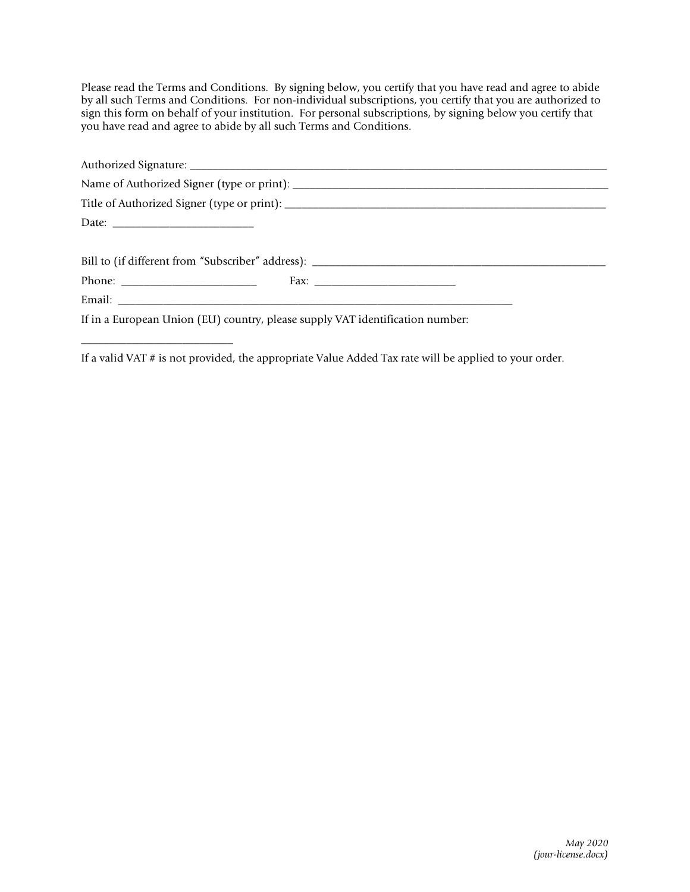Please read the Terms and Conditions. By signing below, you certify that you have read and agree to abide by all such Terms and Conditions. For non-individual subscriptions, you certify that you are authorized to sign this form on behalf of your institution. For personal subscriptions, by signing below you certify that you have read and agree to abide by all such Terms and Conditions.

| Date: $\frac{1}{2}$                                                           |  |
|-------------------------------------------------------------------------------|--|
|                                                                               |  |
|                                                                               |  |
|                                                                               |  |
|                                                                               |  |
| If in a European Union (EU) country, please supply VAT identification number: |  |

\_\_\_\_\_\_\_\_\_\_\_\_\_\_\_\_\_\_\_\_\_\_\_\_\_\_\_

If a valid VAT # is not provided, the appropriate Value Added Tax rate will be applied to your order.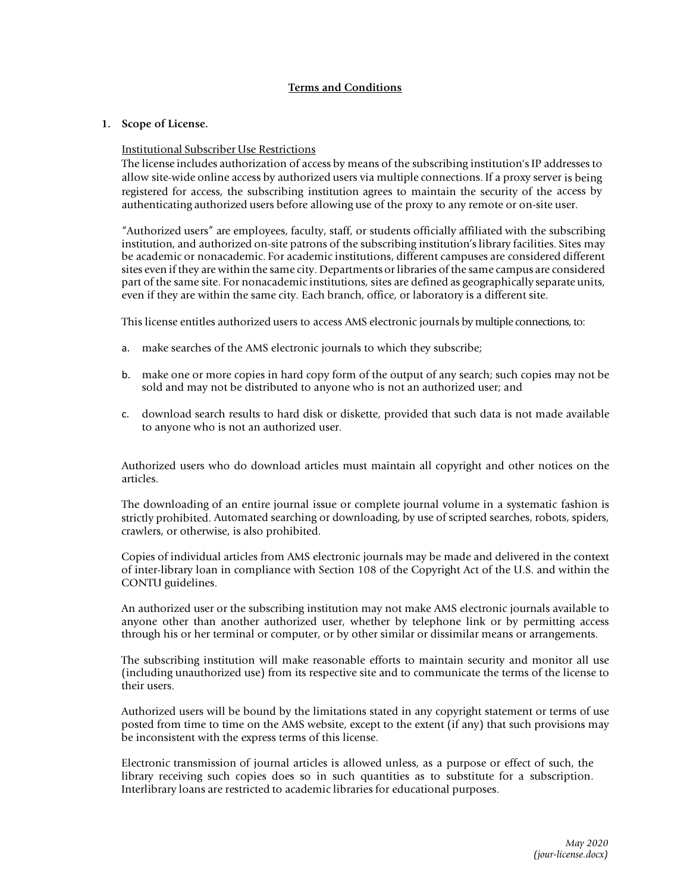# **Terms and Conditions**

## **1. Scope of License.**

## Institutional Subscriber Use Restrictions

The license includes authorization of access by means of the subscribing institution'sIP addresses to allow site-wide online access by authorized users via multiple connections. If a proxy server is being registered for access, the subscribing institution agrees to maintain the security of the access by authenticating authorized users before allowing use of the proxy to any remote or on-site user.

"Authorized users" are employees, faculty, staff, or students officially affiliated with the subscribing institution, and authorized on-site patrons of the subscribing institution'slibrary facilities. Sites may be academic or nonacademic. For academic institutions, different campuses are considered different sites even if they are within the same city. Departmentsor libraries of the same campus are considered part of the same site. For nonacademic institutions, sites are defined as geographically separate units, even if they are within the same city. Each branch, office, or laboratory is a different site.

This license entitles authorized users to access AMS electronic journals by multiple connections, to:

- a. make searches of the AMS electronic journals to which they subscribe;
- b. make one or more copies in hard copy form of the output of any search; such copies may not be sold and may not be distributed to anyone who is not an authorized user; and
- c. download search results to hard disk or diskette, provided that such data is not made available to anyone who is not an authorized user.

Authorized users who do download articles must maintain all copyright and other notices on the articles.

The downloading of an entire journal issue or complete journal volume in a systematic fashion is strictly prohibited. Automated searching or downloading, by use of scripted searches, robots, spiders, crawlers, or otherwise, is also prohibited.

Copies of individual articles from AMS electronic journals may be made and delivered in the context of inter-library loan in compliance with Section 108 of the Copyright Act of the U.S. and within the CONTU guidelines.

An authorized user or the subscribing institution may not make AMS electronic journals available to anyone other than another authorized user, whether by telephone link or by permitting access through his or her terminal or computer, or by other similar or dissimilar means or arrangements.

The subscribing institution will make reasonable efforts to maintain security and monitor all use (including unauthorized use) from its respective site and to communicate the terms of the license to their users.

Authorized users will be bound by the limitations stated in any copyright statement or terms of use posted from time to time on the AMS website, except to the extent (if any) that such provisions may be inconsistent with the express terms of this license.

Electronic transmission of journal articles is allowed unless, as a purpose or effect of such, the library receiving such copies does so in such quantities as to substitute for a subscription. Interlibrary loans are restricted to academic libraries for educational purposes.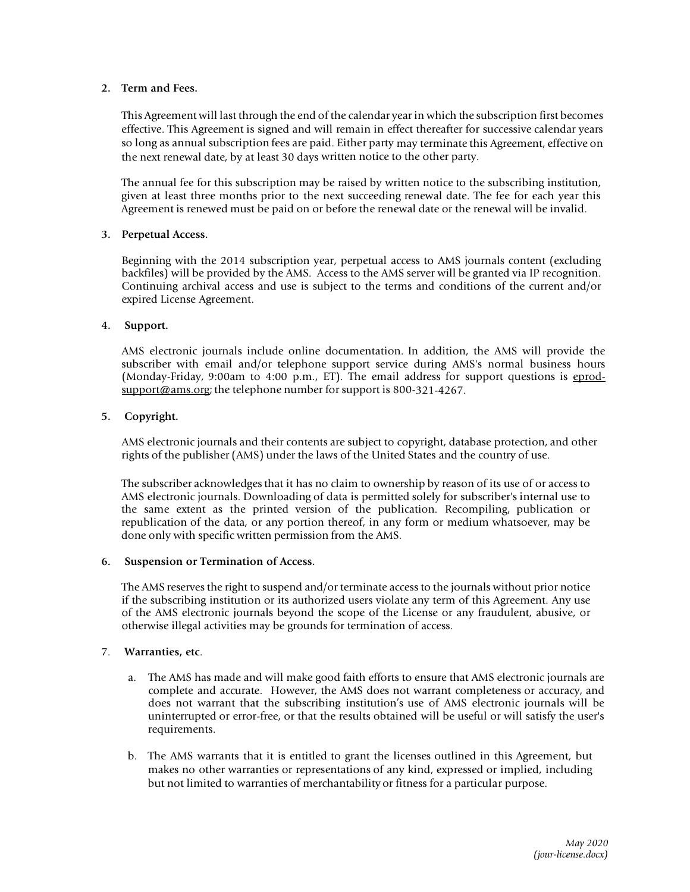### **2. Term and Fees.**

This Agreement will last through the end of the calendar year in which the subscription first becomes effective. This Agreement is signed and will remain in effect thereafter for successive calendar years so long as annual subscription fees are paid. Either party may terminate this Agreement, effective on the next renewal date, by at least 30 days written notice to the other party.

The annual fee for this subscription may be raised by written notice to the subscribing institution, given at least three months prior to the next succeeding renewal date. The fee for each year this Agreement is renewed must be paid on or before the renewal date or the renewal will be invalid.

#### **3. Perpetual Access.**

Beginning with the 2014 subscription year, perpetual access to AMS journals content (excluding backfiles) will be provided by the AMS. Access to the AMS server will be granted via IP recognition. Continuing archival access and use is subject to the terms and conditions of the current and/or expired License Agreement.

#### **4. Support.**

AMS electronic journals include online documentation. In addition, the AMS will provide the subscriber with email and/or telephone support service during AMS's normal business hours (Monday-Friday, 9:00am to 4:00 p.m., ET). The email address for support questions is eprod- $\frac{\text{support@ams.org}}{\text{support@ams.org}}$  the telephone number for support is 800-321-4267.

#### **5. Copyright.**

AMS electronic journals and their contents are subject to copyright, database protection, and other rights of the publisher (AMS) under the laws of the United States and the country of use.

The subscriber acknowledgesthat it has no claim to ownership by reason of its use of or access to AMS electronic journals. Downloading of data is permitted solely for subscriber's internal use to the same extent as the printed version of the publication. Recompiling, publication or republication of the data, or any portion thereof, in any form or medium whatsoever, may be done only with specific written permission from the AMS.

#### **6. Suspension or Termination of Access.**

The AMS reserves the right to suspend and/or terminate access to the journals without prior notice if the subscribing institution or its authorized users violate any term of this Agreement. Any use of the AMS electronic journals beyond the scope of the License or any fraudulent, abusive, or otherwise illegal activities may be grounds for termination of access.

#### 7. **Warranties, etc**.

- a. The AMS has made and will make good faith efforts to ensure that AMS electronic journals are complete and accurate. However, the AMS does not warrant completeness or accuracy, and does not warrant that the subscribing institution's use of AMS electronic journals will be uninterrupted or error-free, or that the results obtained will be useful or will satisfy the user's requirements.
- b. The AMS warrants that it is entitled to grant the licenses outlined in this Agreement, but makes no other warranties or representations of any kind, expressed or implied, including but not limited to warranties of merchantability or fitness for a particular purpose.